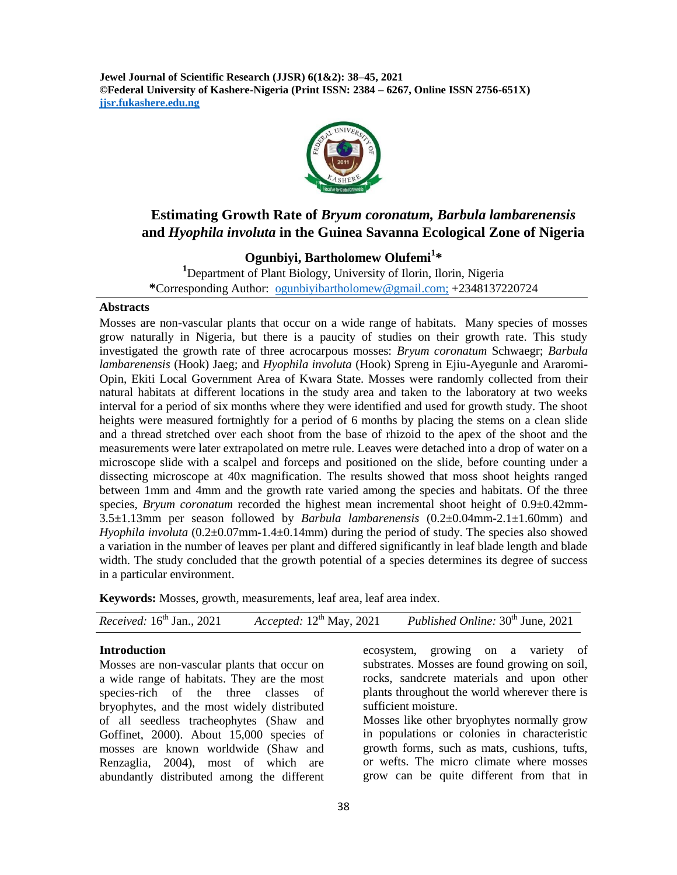**Jewel Journal of Scientific Research (JJSR) 6(1&2): 38–45, 2021 ©Federal University of Kashere-Nigeria (Print ISSN: 2384 – 6267, Online ISSN 2756-651X) jjsr.fukashere.edu.ng**



# **Estimating Growth Rate of** *Bryum coronatum, Barbula lambarenensis* **and** *Hyophila involuta* **in the Guinea Savanna Ecological Zone of Nigeria**

## **Ogunbiyi, Bartholomew Olufemi<sup>1</sup> \***

**<sup>1</sup>**Department of Plant Biology, University of Ilorin, Ilorin, Nigeria **\***Corresponding Author: [ogunbiyibartholomew@gmail.com;](mailto:ogunbiyibartholomew@gmail.com) +2348137220724

#### **Abstracts**

Mosses are non-vascular plants that occur on a wide range of habitats. Many species of mosses grow naturally in Nigeria, but there is a paucity of studies on their growth rate. This study investigated the growth rate of three acrocarpous mosses: *Bryum coronatum* Schwaegr; *Barbula lambarenensis* (Hook) Jaeg; and *Hyophila involuta* (Hook) Spreng in Ejiu-Ayegunle and Araromi-Opin, Ekiti Local Government Area of Kwara State. Mosses were randomly collected from their natural habitats at different locations in the study area and taken to the laboratory at two weeks interval for a period of six months where they were identified and used for growth study. The shoot heights were measured fortnightly for a period of 6 months by placing the stems on a clean slide and a thread stretched over each shoot from the base of rhizoid to the apex of the shoot and the measurements were later extrapolated on metre rule. Leaves were detached into a drop of water on a microscope slide with a scalpel and forceps and positioned on the slide, before counting under a dissecting microscope at 40x magnification. The results showed that moss shoot heights ranged between 1mm and 4mm and the growth rate varied among the species and habitats. Of the three species, *Bryum coronatum* recorded the highest mean incremental shoot height of 0.9±0.42mm-3.5±1.13mm per season followed by *Barbula lambarenensis* (0.2±0.04mm-2.1±1.60mm) and *Hyophila involuta* (0.2±0.07mm-1.4±0.14mm) during the period of study. The species also showed a variation in the number of leaves per plant and differed significantly in leaf blade length and blade width. The study concluded that the growth potential of a species determines its degree of success in a particular environment.

**Keywords:** Mosses, growth, measurements, leaf area, leaf area index.

| <i>Received:</i> $16th$ Jan., 2021 |  | Accepted: $12^{th}$ May, 2021 Published Online: $30^{th}$ June, 2021 |
|------------------------------------|--|----------------------------------------------------------------------|
|------------------------------------|--|----------------------------------------------------------------------|

#### **Introduction**

Mosses are non-vascular plants that occur on a wide range of habitats. They are the most species-rich of the three classes of bryophytes, and the most widely distributed of all seedless tracheophytes (Shaw and Goffinet, 2000). About 15,000 species of mosses are known worldwide (Shaw and Renzaglia, 2004), most of which are abundantly distributed among the different

ecosystem, growing on a variety of substrates. Mosses are found growing on soil, rocks, sandcrete materials and upon other plants throughout the world wherever there is sufficient moisture.

Mosses like other bryophytes normally grow in populations or colonies in characteristic growth forms, such as mats, cushions, tufts, or wefts. The micro climate where mosses grow can be quite different from that in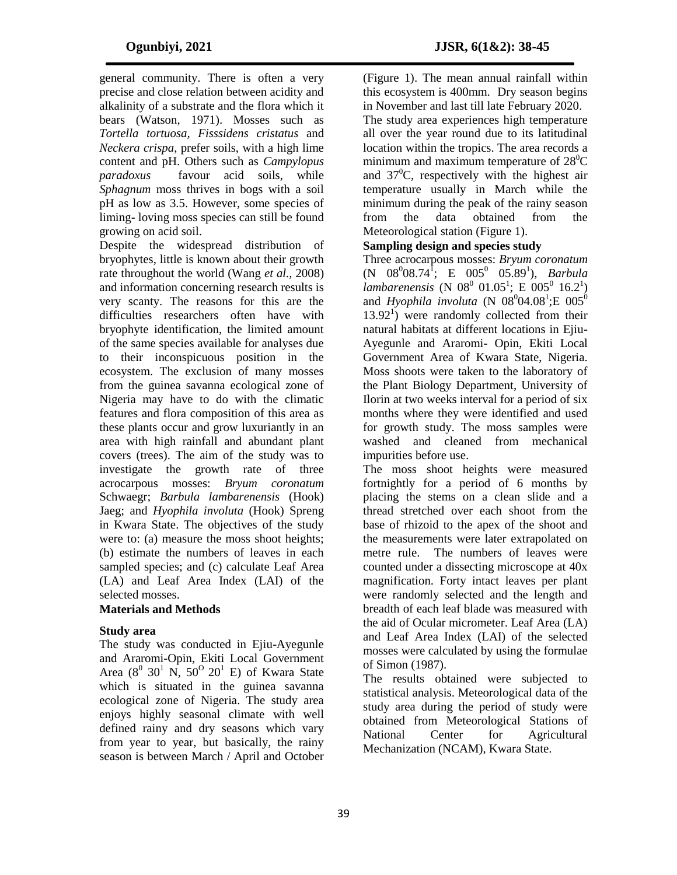general community. There is often a very precise and close relation between acidity and alkalinity of a substrate and the flora which it bears (Watson, 1971). Mosses such as *Tortella tortuosa, Fisssidens cristatus* and *Neckera crispa*, prefer soils, with a high lime content and pH. Others such as *Campylopus paradoxus* favour acid soils, while *Sphagnum* moss thrives in bogs with a soil pH as low as 3.5. However, some species of liming- loving moss species can still be found growing on acid soil.

Despite the widespread distribution of bryophytes, little is known about their growth rate throughout the world (Wang *et al.,* 2008) and information concerning research results is very scanty. The reasons for this are the difficulties researchers often have with bryophyte identification, the limited amount of the same species available for analyses due to their inconspicuous position in the ecosystem. The exclusion of many mosses from the guinea savanna ecological zone of Nigeria may have to do with the climatic features and flora composition of this area as these plants occur and grow luxuriantly in an area with high rainfall and abundant plant covers (trees). The aim of the study was to investigate the growth rate of three acrocarpous mosses: *Bryum coronatum*  Schwaegr; *Barbula lambarenensis* (Hook) Jaeg; and *Hyophila involuta* (Hook) Spreng in Kwara State. The objectives of the study were to: (a) measure the moss shoot heights; (b) estimate the numbers of leaves in each sampled species; and (c) calculate Leaf Area (LA) and Leaf Area Index (LAI) of the selected mosses.

### **Materials and Methods**

#### **Study area**

The study was conducted in Ejiu-Ayegunle and Araromi-Opin, Ekiti Local Government Area  $(8^0 \ 30^1 \ N, 50^0 \ 20^1 \ E)$  of Kwara State which is situated in the guinea savanna ecological zone of Nigeria. The study area enjoys highly seasonal climate with well defined rainy and dry seasons which vary from year to year, but basically, the rainy season is between March / April and October

(Figure 1). The mean annual rainfall within this ecosystem is 400mm. Dry season begins in November and last till late February 2020. The study area experiences high temperature all over the year round due to its latitudinal location within the tropics. The area records a minimum and maximum temperature of  $28^{\circ}$ C and  $37^{\circ}$ C, respectively with the highest air temperature usually in March while the minimum during the peak of the rainy season from the data obtained from the Meteorological station (Figure 1).

### **Sampling design and species study**

Three acrocarpous mosses: *Bryum coronatum*  $(N \ 08^{0}08.74^{\{1\}}; \ E \ 005^{0} \ 05.89^{1}),$  *Barbula*  $lambarenensis$  (N  $08^0$  01.05<sup>1</sup>; E  $005^0$  16.2<sup>1</sup>) and *Hyophila involuta* (N  $08^{0}04.08^{1}$ ; E  $005^{0}$  $13.92<sup>1</sup>$ ) were randomly collected from their natural habitats at different locations in Ejiu-Ayegunle and Araromi- Opin, Ekiti Local Government Area of Kwara State, Nigeria. Moss shoots were taken to the laboratory of the Plant Biology Department, University of Ilorin at two weeks interval for a period of six months where they were identified and used for growth study. The moss samples were washed and cleaned from mechanical impurities before use.

The moss shoot heights were measured fortnightly for a period of 6 months by placing the stems on a clean slide and a thread stretched over each shoot from the base of rhizoid to the apex of the shoot and the measurements were later extrapolated on metre rule. The numbers of leaves were counted under a dissecting microscope at 40x magnification. Forty intact leaves per plant were randomly selected and the length and breadth of each leaf blade was measured with the aid of Ocular micrometer. Leaf Area (LA) and Leaf Area Index (LAI) of the selected mosses were calculated by using the formulae of Simon (1987).

The results obtained were subjected to statistical analysis. Meteorological data of the study area during the period of study were obtained from Meteorological Stations of National Center for Agricultural Mechanization (NCAM), Kwara State.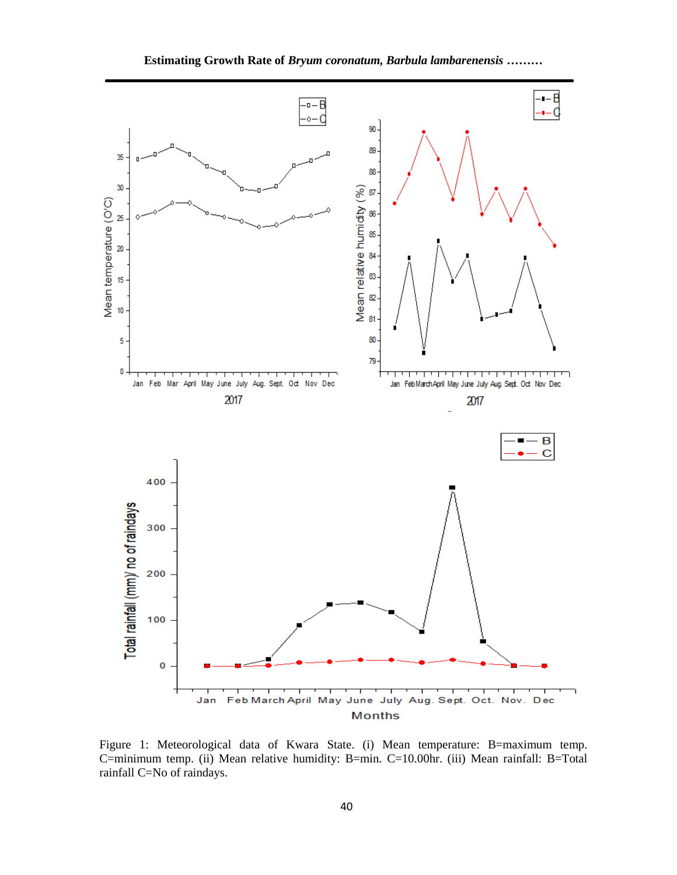

Figure 1: Meteorological data of Kwara State. (i) Mean temperature: B=maximum temp. C=minimum temp. (ii) Mean relative humidity: B=min. C=10.00hr. (iii) Mean rainfall: B=Total rainfall C=No of raindays.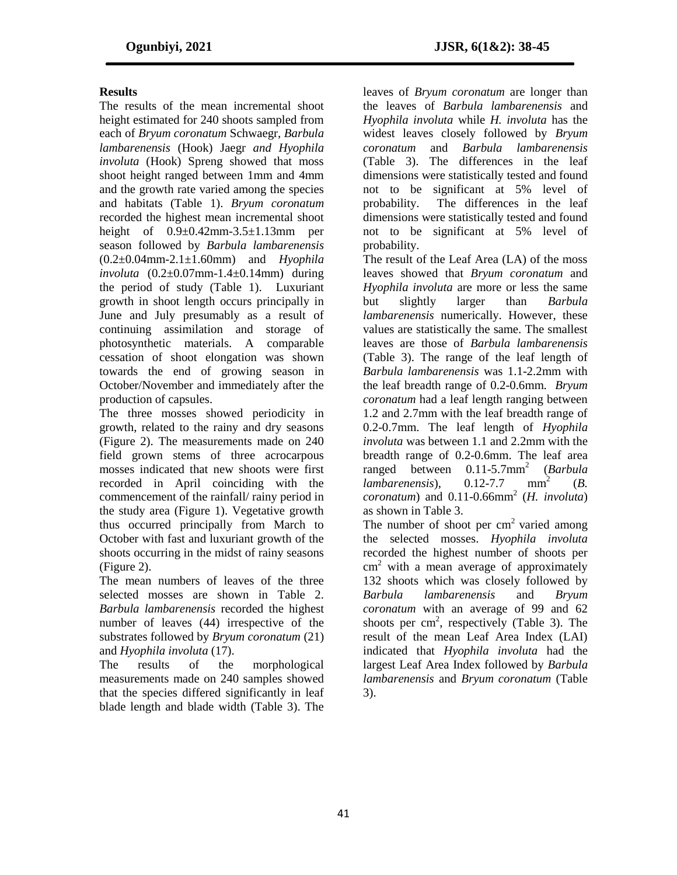## **Results**

The results of the mean incremental shoot height estimated for 240 shoots sampled from each of *Bryum coronatum* Schwaegr*, Barbula lambarenensis* (Hook) Jaegr *and Hyophila involuta* (Hook) Spreng showed that moss shoot height ranged between 1mm and 4mm and the growth rate varied among the species and habitats (Table 1). *Bryum coronatum* recorded the highest mean incremental shoot height of  $0.9\pm0.42$ mm-3.5 $\pm1.13$ mm per season followed by *Barbula lambarenensis* (0.2±0.04mm-2.1±1.60mm) and *Hyophila involuta* (0.2±0.07mm-1.4±0.14mm) during the period of study (Table 1). Luxuriant growth in shoot length occurs principally in June and July presumably as a result of continuing assimilation and storage of photosynthetic materials. A comparable cessation of shoot elongation was shown towards the end of growing season in October/November and immediately after the production of capsules.

The three mosses showed periodicity in growth, related to the rainy and dry seasons (Figure 2). The measurements made on 240 field grown stems of three acrocarpous mosses indicated that new shoots were first recorded in April coinciding with the commencement of the rainfall/ rainy period in the study area (Figure 1). Vegetative growth thus occurred principally from March to October with fast and luxuriant growth of the shoots occurring in the midst of rainy seasons (Figure 2).

The mean numbers of leaves of the three selected mosses are shown in Table 2. *Barbula lambarenensis* recorded the highest number of leaves (44) irrespective of the substrates followed by *Bryum coronatum* (21) and *Hyophila involuta* (17).

The results of the morphological measurements made on 240 samples showed that the species differed significantly in leaf blade length and blade width (Table 3). The

leaves of *Bryum coronatum* are longer than the leaves of *Barbula lambarenensis* and *Hyophila involuta* while *H. involuta* has the widest leaves closely followed by *Bryum coronatum* and *Barbula lambarenensis*  (Table 3). The differences in the leaf dimensions were statistically tested and found not to be significant at 5% level of probability. The differences in the leaf dimensions were statistically tested and found not to be significant at 5% level of probability.

The result of the Leaf Area (LA) of the moss leaves showed that *Bryum coronatum* and *Hyophila involuta* are more or less the same but slightly larger than *Barbula lambarenensis* numerically. However, these values are statistically the same. The smallest leaves are those of *Barbula lambarenensis*  (Table 3). The range of the leaf length of *Barbula lambarenensis* was 1.1-2.2mm with the leaf breadth range of 0.2-0.6mm. *Bryum coronatum* had a leaf length ranging between 1.2 and 2.7mm with the leaf breadth range of 0.2-0.7mm. The leaf length of *Hyophila involuta* was between 1.1 and 2.2mm with the breadth range of 0.2-0.6mm. The leaf area ranged between 0.11-5.7mm<sup>2</sup> (*Barbula lambarenensis*), 0.12-7.7 mm<sup>2</sup> (*B.*   $coronatum$  and  $0.11$ - $0.66$ mm<sup>2</sup> (*H. involuta*) as shown in Table 3.

The number of shoot per  $cm<sup>2</sup>$  varied among the selected mosses. *Hyophila involuta*  recorded the highest number of shoots per cm<sup>2</sup> with a mean average of approximately 132 shoots which was closely followed by *Barbula lambarenensis* and *Bryum coronatum* with an average of 99 and 62 shoots per  $\text{cm}^2$ , respectively (Table 3). The result of the mean Leaf Area Index (LAI) indicated that *Hyophila involuta* had the largest Leaf Area Index followed by *Barbula lambarenensis* and *Bryum coronatum* (Table 3).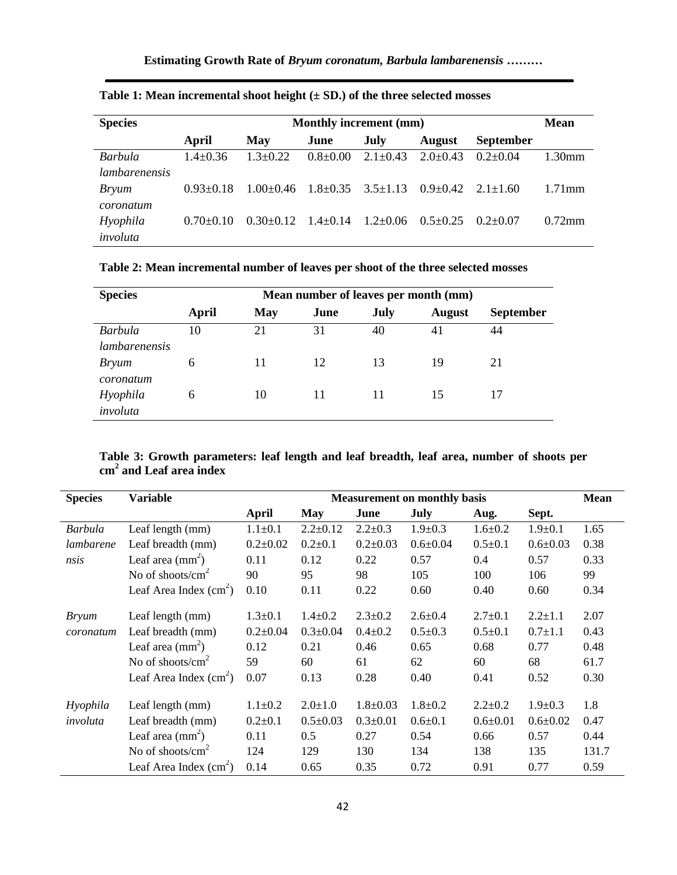| <b>Species</b>       | <b>Monthly increment (mm)</b> |                 |              |              |                |                  | <b>Mean</b> |
|----------------------|-------------------------------|-----------------|--------------|--------------|----------------|------------------|-------------|
|                      | April                         | May             | June         | July         | <b>August</b>  | <b>September</b> |             |
| Barbula              | $1.4 \pm 0.36$                | $1.3 + 0.22$    | $0.8 + 0.00$ | $2.1 + 0.43$ | $2.0 \pm 0.43$ | $0.2 + 0.04$     | $1.30$ mm   |
| <i>lambarenensis</i> |                               |                 |              |              |                |                  |             |
| <i>Bryum</i>         | $0.93 \pm 0.18$               | $1.00 \pm 0.46$ | $1.8 + 0.35$ | $3.5 + 1.13$ | $0.9 + 0.42$   | $2.1 + 1.60$     | $1.71$ mm   |
| coronatum            |                               |                 |              |              |                |                  |             |
| Hyophila             | $0.70 + 0.10$                 | $0.30 + 0.12$   | $1.4 + 0.14$ | $1.2 + 0.06$ | $0.5 + 0.25$   | $(12+0.07)$      | $0.72$ mm   |
| involuta             |                               |                 |              |              |                |                  |             |

**Table 1: Mean incremental shoot height (± SD.) of the three selected mosses**

**Table 2: Mean incremental number of leaves per shoot of the three selected mosses** 

| <b>Species</b> | Mean number of leaves per month (mm) |     |      |      |               |                  |  |
|----------------|--------------------------------------|-----|------|------|---------------|------------------|--|
|                | April                                | May | June | July | <b>August</b> | <b>September</b> |  |
| <b>Barbula</b> | 10                                   | 21  | 31   | 40   | 41            | 44               |  |
| lambarenensis  |                                      |     |      |      |               |                  |  |
| <i>Bryum</i>   | 6                                    | 11  | 12   | 13   | 19            | 21               |  |
| coronatum      |                                      |     |      |      |               |                  |  |
| Hyophila       | 6                                    | 10  | 11   | 11   | 15            | 17               |  |
| involuta       |                                      |     |      |      |               |                  |  |

**Table 3: Growth parameters: leaf length and leaf breadth, leaf area, number of shoots per cm<sup>2</sup> and Leaf area index**

| <b>Species</b> | <b>Variable</b>             | <b>Measurement on monthly basis</b> |                |                |                |                |                | <b>Mean</b> |
|----------------|-----------------------------|-------------------------------------|----------------|----------------|----------------|----------------|----------------|-------------|
|                |                             | April                               | May            | June           | July           | Aug.           | Sept.          |             |
| <b>Barbula</b> | Leaf length (mm)            | $1.1 \pm 0.1$                       | $2.2 \pm 0.12$ | $2.2 \pm 0.3$  | $1.9 \pm 0.3$  | $1.6 \pm 0.2$  | $1.9 \pm 0.1$  | 1.65        |
| lambarene      | Leaf breadth (mm)           | $0.2 \pm 0.02$                      | $0.2{\pm}0.1$  | $0.2 \pm 0.03$ | $0.6 \pm 0.04$ | $0.5 \pm 0.1$  | $0.6 \pm 0.03$ | 0.38        |
| nsis           | Leaf area $\text{(mm)}^2$ ) | 0.11                                | 0.12           | 0.22           | 0.57           | 0.4            | 0.57           | 0.33        |
|                | No of shoots/ $cm2$         | 90                                  | 95             | 98             | 105            | 100            | 106            | 99          |
|                | Leaf Area Index $(cm2)$     | 0.10                                | 0.11           | 0.22           | 0.60           | 0.40           | 0.60           | 0.34        |
| <b>Bryum</b>   | Leaf length (mm)            | $1.3 \pm 0.1$                       | $1.4 \pm 0.2$  | $2.3 \pm 0.2$  | $2.6 \pm 0.4$  | $2.7 \pm 0.1$  | $2.2 + 1.1$    | 2.07        |
| coronatum      | Leaf breadth (mm)           | $0.2 \pm 0.04$                      | $0.3 \pm 0.04$ | $0.4 \pm 0.2$  | $0.5 \pm 0.3$  | $0.5 \pm 0.1$  | $0.7 \pm 1.1$  | 0.43        |
|                | Leaf area $\text{(mm)}^2$ ) | 0.12                                | 0.21           | 0.46           | 0.65           | 0.68           | 0.77           | 0.48        |
|                | No of shoots/ $cm2$         | 59                                  | 60             | 61             | 62             | 60             | 68             | 61.7        |
|                | Leaf Area Index $(cm2)$     | 0.07                                | 0.13           | 0.28           | 0.40           | 0.41           | 0.52           | 0.30        |
| Hyophila       | Leaf length (mm)            | $1.1 \pm 0.2$                       | $2.0 \pm 1.0$  | $1.8 \pm 0.03$ | $1.8 + 0.2$    | $2.2+0.2$      | $1.9 \pm 0.3$  | 1.8         |
| involuta       | Leaf breadth (mm)           | $0.2{\pm}0.1$                       | $0.5 \pm 0.03$ | $0.3 \pm 0.01$ | $0.6 \pm 0.1$  | $0.6 \pm 0.01$ | $0.6 \pm 0.02$ | 0.47        |
|                | Leaf area $\text{(mm)}$     | 0.11                                | 0.5            | 0.27           | 0.54           | 0.66           | 0.57           | 0.44        |
|                | No of shoots/ $cm2$         | 124                                 | 129            | 130            | 134            | 138            | 135            | 131.7       |
|                | Leaf Area Index $(cm2)$     | 0.14                                | 0.65           | 0.35           | 0.72           | 0.91           | 0.77           | 0.59        |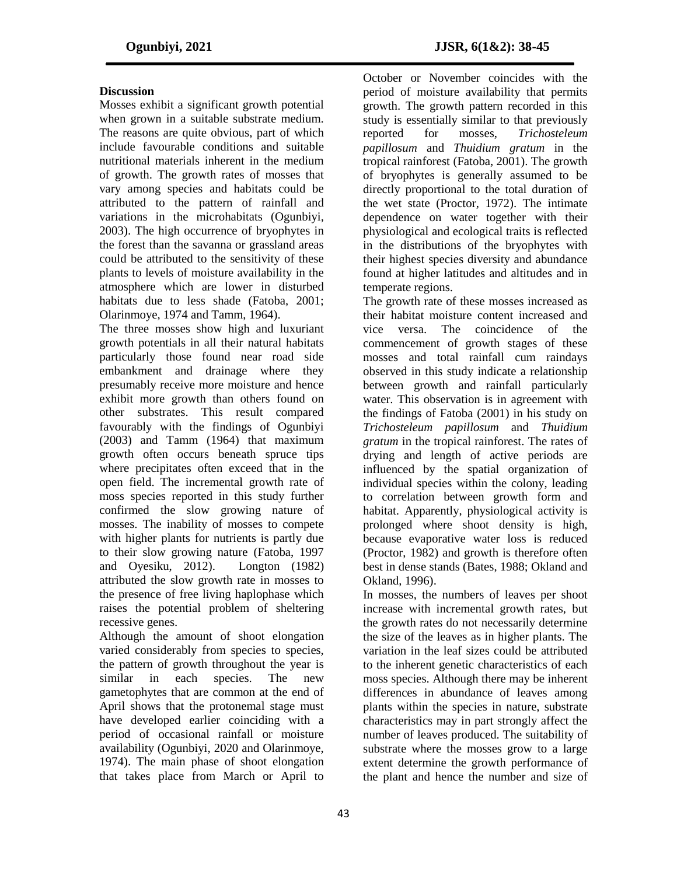#### **Discussion**

Mosses exhibit a significant growth potential when grown in a suitable substrate medium. The reasons are quite obvious, part of which include favourable conditions and suitable nutritional materials inherent in the medium of growth. The growth rates of mosses that vary among species and habitats could be attributed to the pattern of rainfall and variations in the microhabitats (Ogunbiyi, 2003). The high occurrence of bryophytes in the forest than the savanna or grassland areas could be attributed to the sensitivity of these plants to levels of moisture availability in the atmosphere which are lower in disturbed habitats due to less shade (Fatoba, 2001; Olarinmoye, 1974 and Tamm, 1964).

The three mosses show high and luxuriant growth potentials in all their natural habitats particularly those found near road side embankment and drainage where they presumably receive more moisture and hence exhibit more growth than others found on other substrates. This result compared favourably with the findings of Ogunbiyi (2003) and Tamm (1964) that maximum growth often occurs beneath spruce tips where precipitates often exceed that in the open field. The incremental growth rate of moss species reported in this study further confirmed the slow growing nature of mosses. The inability of mosses to compete with higher plants for nutrients is partly due to their slow growing nature (Fatoba, 1997 and Oyesiku, 2012). Longton (1982) attributed the slow growth rate in mosses to the presence of free living haplophase which raises the potential problem of sheltering recessive genes.

Although the amount of shoot elongation varied considerably from species to species, the pattern of growth throughout the year is similar in each species. The new gametophytes that are common at the end of April shows that the protonemal stage must have developed earlier coinciding with a period of occasional rainfall or moisture availability (Ogunbiyi, 2020 and Olarinmoye, 1974). The main phase of shoot elongation that takes place from March or April to

October or November coincides with the period of moisture availability that permits growth. The growth pattern recorded in this study is essentially similar to that previously reported for mosses, *Trichosteleum papillosum* and *Thuidium gratum* in the tropical rainforest (Fatoba, 2001). The growth of bryophytes is generally assumed to be directly proportional to the total duration of the wet state (Proctor, 1972). The intimate dependence on water together with their physiological and ecological traits is reflected in the distributions of the bryophytes with their highest species diversity and abundance found at higher latitudes and altitudes and in temperate regions.

The growth rate of these mosses increased as their habitat moisture content increased and vice versa. The coincidence of the commencement of growth stages of these mosses and total rainfall cum raindays observed in this study indicate a relationship between growth and rainfall particularly water. This observation is in agreement with the findings of Fatoba (2001) in his study on *Trichosteleum papillosum* and *Thuidium gratum* in the tropical rainforest. The rates of drying and length of active periods are influenced by the spatial organization of individual species within the colony, leading to correlation between growth form and habitat. Apparently, physiological activity is prolonged where shoot density is high, because evaporative water loss is reduced (Proctor, 1982) and growth is therefore often best in dense stands (Bates, 1988; Okland and Okland, 1996).

In mosses, the numbers of leaves per shoot increase with incremental growth rates, but the growth rates do not necessarily determine the size of the leaves as in higher plants. The variation in the leaf sizes could be attributed to the inherent genetic characteristics of each moss species. Although there may be inherent differences in abundance of leaves among plants within the species in nature, substrate characteristics may in part strongly affect the number of leaves produced. The suitability of substrate where the mosses grow to a large extent determine the growth performance of the plant and hence the number and size of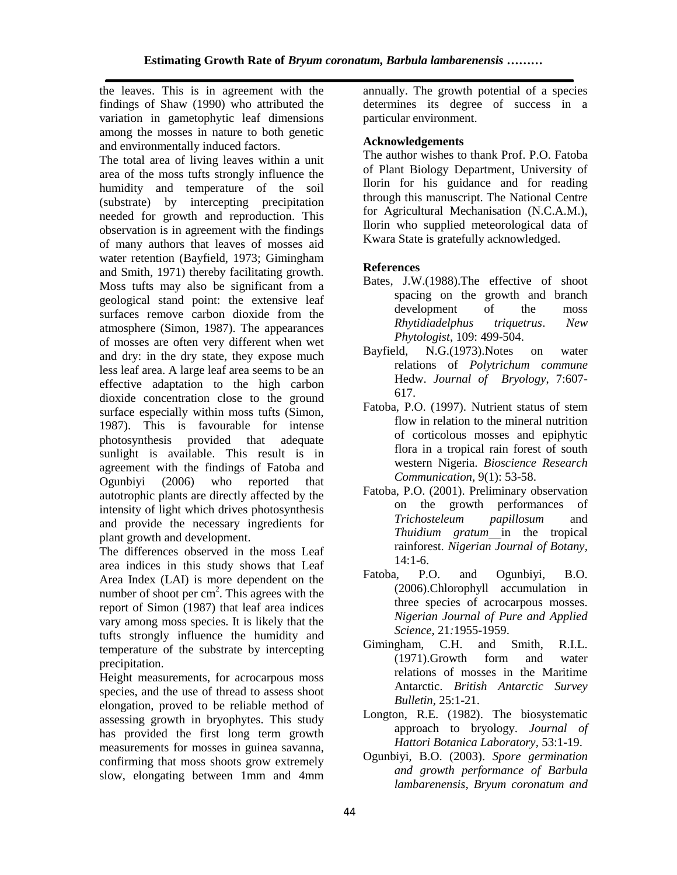the leaves. This is in agreement with the findings of Shaw (1990) who attributed the variation in gametophytic leaf dimensions among the mosses in nature to both genetic and environmentally induced factors.

The total area of living leaves within a unit area of the moss tufts strongly influence the humidity and temperature of the soil (substrate) by intercepting precipitation needed for growth and reproduction. This observation is in agreement with the findings of many authors that leaves of mosses aid water retention (Bayfield, 1973; Gimingham and Smith, 1971) thereby facilitating growth. Moss tufts may also be significant from a geological stand point: the extensive leaf surfaces remove carbon dioxide from the atmosphere (Simon, 1987). The appearances of mosses are often very different when wet and dry: in the dry state, they expose much less leaf area. A large leaf area seems to be an effective adaptation to the high carbon dioxide concentration close to the ground surface especially within moss tufts (Simon, 1987). This is favourable for intense photosynthesis provided that adequate sunlight is available. This result is in agreement with the findings of Fatoba and Ogunbiyi (2006) who reported that autotrophic plants are directly affected by the intensity of light which drives photosynthesis and provide the necessary ingredients for plant growth and development.

The differences observed in the moss Leaf area indices in this study shows that Leaf Area Index (LAI) is more dependent on the number of shoot per  $\text{cm}^2$ . This agrees with the report of Simon (1987) that leaf area indices vary among moss species. It is likely that the tufts strongly influence the humidity and temperature of the substrate by intercepting precipitation.

Height measurements, for acrocarpous moss species, and the use of thread to assess shoot elongation, proved to be reliable method of assessing growth in bryophytes. This study has provided the first long term growth measurements for mosses in guinea savanna, confirming that moss shoots grow extremely slow, elongating between 1mm and 4mm annually. The growth potential of a species determines its degree of success in a particular environment.

#### **Acknowledgements**

The author wishes to thank Prof. P.O. Fatoba of Plant Biology Department, University of Ilorin for his guidance and for reading through this manuscript. The National Centre for Agricultural Mechanisation (N.C.A.M.), Ilorin who supplied meteorological data of Kwara State is gratefully acknowledged.

### **References**

- Bates, J.W.(1988).The effective of shoot spacing on the growth and branch development of the moss *Rhytidiadelphus triquetrus*. *New Phytologist*, 109: 499-504.
- Bayfield, N.G.(1973).Notes on water relations of *Polytrichum commune* Hedw. *Journal of Bryology*, 7:607- 617.
- Fatoba, P.O. (1997). Nutrient status of stem flow in relation to the mineral nutrition of corticolous mosses and epiphytic flora in a tropical rain forest of south western Nigeria. *Bioscience Research Communication,* 9(1): 53-58.
- Fatoba, P.O. (2001). Preliminary observation on the growth performances of *Trichosteleum papillosum* and *Thuidium gratum* in the tropical rainforest. *Nigerian Journal of Botany,*  14:1-6.
- Fatoba, P.O. and Ogunbiyi, B.O. (2006).Chlorophyll accumulation in three species of acrocarpous mosses. *Nigerian Journal of Pure and Applied Science*, 21*:*1955-1959.
- Gimingham, C.H. and Smith, R.I.L. (1971).Growth form and water relations of mosses in the Maritime Antarctic. *British Antarctic Survey Bulletin*, 25:1-21.
- Longton, R.E. (1982). The biosystematic approach to bryology. *Journal of Hattori Botanica Laboratory,* 53:1-19.
- Ogunbiyi, B.O. (2003). *Spore germination and growth performance of Barbula lambarenensis, Bryum coronatum and*